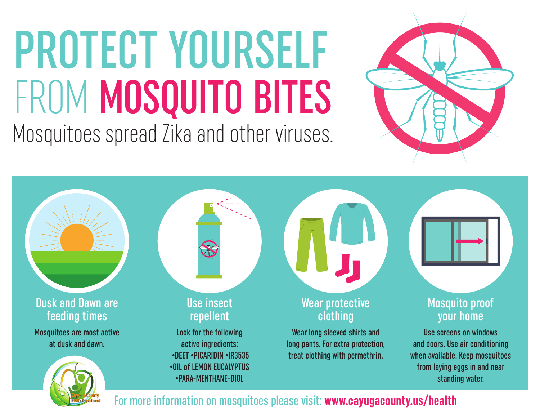# PROTECT YOURSELF FROM MOSQUITO BITES Mosquitoes spread Zika and other viruses.



Use insect repellent Wear protective clothing Mosquito proof your home Dusk and Dawn are feeding times Mosquitoes are most active at dusk and dawn. Wear long sleeved shirts and long pants. For extra protection, treat clothing with permethrin. Use screens on windows and doors. Use air conditioning when available. Keep mosquitoes from laying eggs in and near standing water. Look for the following active ingredients: •DEET •PICARIDIN •IR3535 •OIL of LEMON EUCALYPTUS •PARA-MENTHANE-DIOL

For more information on mosquitoes please visit: **www.cayugacounty.us/health**